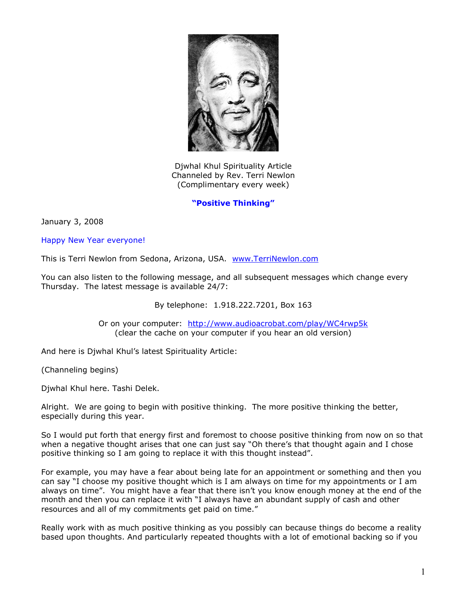

Djwhal Khul Spirituality Article Channeled by Rev. Terri Newlon (Complimentary every week)

## **"Positive Thinking"**

January 3, 2008

Happy New Year everyone!

This is Terri Newlon from Sedona, Arizona, USA. [www.TerriNewlon.com](http://www.terrinewlon.com/)

You can also listen to the following message, and all subsequent messages which change every Thursday. The latest message is available 24/7:

By telephone: 1.918.222.7201, Box 163

Or on your computer: <http://www.audioacrobat.com/play/WC4rwp5k> (clear the cache on your computer if you hear an old version)

And here is Djwhal Khul's latest Spirituality Article:

(Channeling begins)

Djwhal Khul here. Tashi Delek.

Alright. We are going to begin with positive thinking. The more positive thinking the better, especially during this year.

So I would put forth that energy first and foremost to choose positive thinking from now on so that when a negative thought arises that one can just say "Oh there's that thought again and I chose positive thinking so I am going to replace it with this thought instead".

For example, you may have a fear about being late for an appointment or something and then you can say "I choose my positive thought which is I am always on time for my appointments or I am always on time". You might have a fear that there isn't you know enough money at the end of the month and then you can replace it with "I always have an abundant supply of cash and other resources and all of my commitments get paid on time."

Really work with as much positive thinking as you possibly can because things do become a reality based upon thoughts. And particularly repeated thoughts with a lot of emotional backing so if you